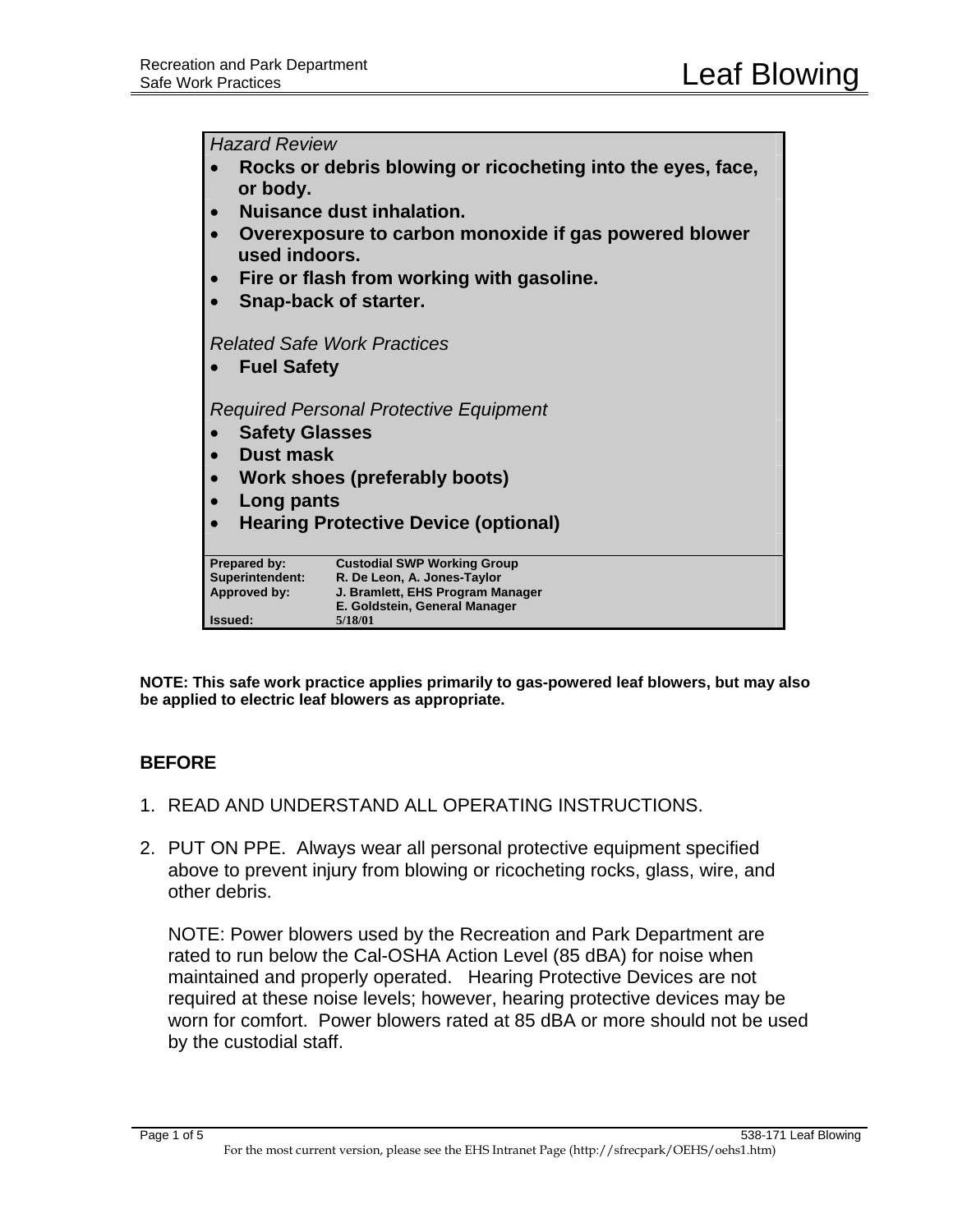*Hazard Review*  • **Rocks or debris blowing or ricocheting into the eyes, face, or body.**  • **Nuisance dust inhalation.** • **Overexposure to carbon monoxide if gas powered blower used indoors.**  • **Fire or flash from working with gasoline.** • **Snap-back of starter.** *Related Safe Work Practices*  • **Fuel Safety** *Required Personal Protective Equipment*  • **Safety Glasses**  • **Dust mask**  • **Work shoes (preferably boots)**  • **Long pants**  • **Hearing Protective Device (optional) Prepared by: Custodial SWP Working Group Superintendent: R. De Leon, A. Jones-Taylor Approved by: J. Bramlett, EHS Program Manager E. Goldstein, General Manager Issued: 5/18/01**

**NOTE: This safe work practice applies primarily to gas-powered leaf blowers, but may also be applied to electric leaf blowers as appropriate.** 

# **BEFORE**

- 1. READ AND UNDERSTAND ALL OPERATING INSTRUCTIONS.
- 2. PUT ON PPE. Always wear all personal protective equipment specified above to prevent injury from blowing or ricocheting rocks, glass, wire, and other debris.

NOTE: Power blowers used by the Recreation and Park Department are rated to run below the Cal-OSHA Action Level (85 dBA) for noise when maintained and properly operated. Hearing Protective Devices are not required at these noise levels; however, hearing protective devices may be worn for comfort. Power blowers rated at 85 dBA or more should not be used by the custodial staff.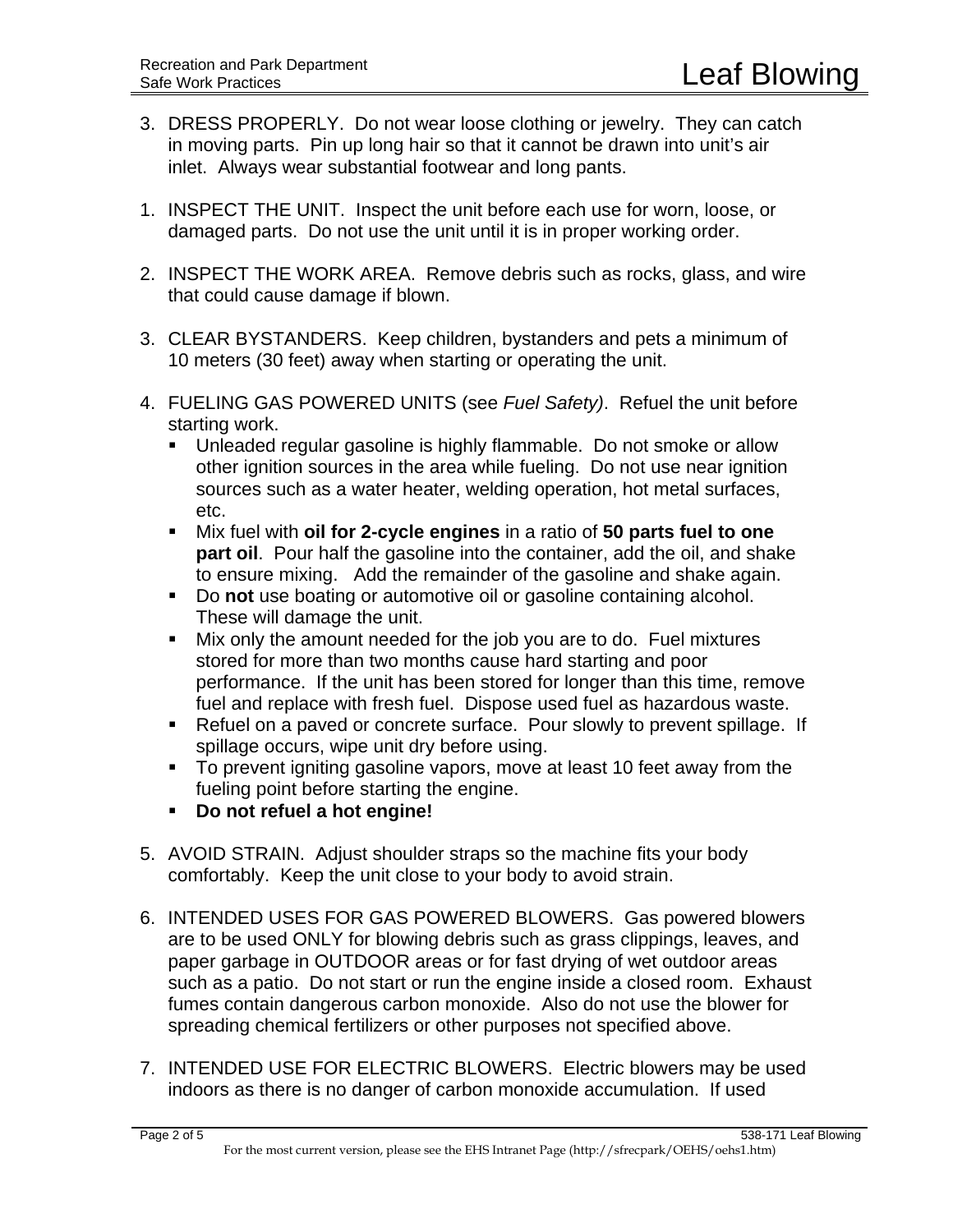- 3. DRESS PROPERLY. Do not wear loose clothing or jewelry. They can catch in moving parts. Pin up long hair so that it cannot be drawn into unit's air inlet. Always wear substantial footwear and long pants.
- 1. INSPECT THE UNIT. Inspect the unit before each use for worn, loose, or damaged parts. Do not use the unit until it is in proper working order.
- 2. INSPECT THE WORK AREA. Remove debris such as rocks, glass, and wire that could cause damage if blown.
- 3. CLEAR BYSTANDERS. Keep children, bystanders and pets a minimum of 10 meters (30 feet) away when starting or operating the unit.
- 4. FUELING GAS POWERED UNITS (see *Fuel Safety)*. Refuel the unit before starting work.
	- **Unleaded regular gasoline is highly flammable. Do not smoke or allow** other ignition sources in the area while fueling. Do not use near ignition sources such as a water heater, welding operation, hot metal surfaces, etc.
	- Mix fuel with **oil for 2-cycle engines** in a ratio of **50 parts fuel to one part oil**. Pour half the gasoline into the container, add the oil, and shake to ensure mixing. Add the remainder of the gasoline and shake again.
	- Do **not** use boating or automotive oil or gasoline containing alcohol. These will damage the unit.
	- Mix only the amount needed for the job you are to do. Fuel mixtures stored for more than two months cause hard starting and poor performance. If the unit has been stored for longer than this time, remove fuel and replace with fresh fuel. Dispose used fuel as hazardous waste.
	- Refuel on a paved or concrete surface. Pour slowly to prevent spillage. If spillage occurs, wipe unit dry before using.
	- To prevent igniting gasoline vapors, move at least 10 feet away from the fueling point before starting the engine.
	- **Do not refuel a hot engine!**
- 5. AVOID STRAIN. Adjust shoulder straps so the machine fits your body comfortably. Keep the unit close to your body to avoid strain.
- 6. INTENDED USES FOR GAS POWERED BLOWERS. Gas powered blowers are to be used ONLY for blowing debris such as grass clippings, leaves, and paper garbage in OUTDOOR areas or for fast drying of wet outdoor areas such as a patio. Do not start or run the engine inside a closed room. Exhaust fumes contain dangerous carbon monoxide. Also do not use the blower for spreading chemical fertilizers or other purposes not specified above.
- 7. INTENDED USE FOR ELECTRIC BLOWERS. Electric blowers may be used indoors as there is no danger of carbon monoxide accumulation. If used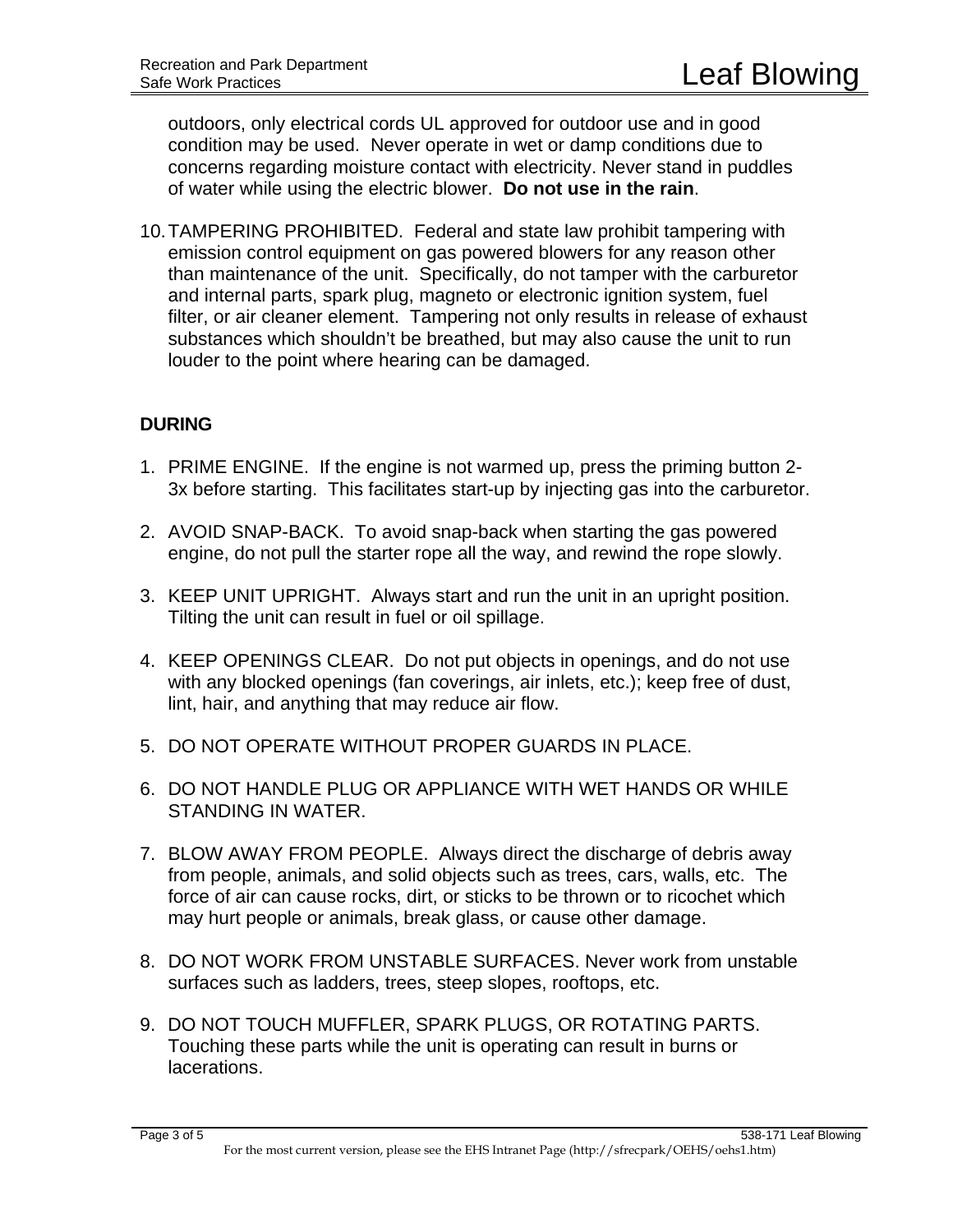outdoors, only electrical cords UL approved for outdoor use and in good condition may be used. Never operate in wet or damp conditions due to concerns regarding moisture contact with electricity. Never stand in puddles of water while using the electric blower. **Do not use in the rain**.

10. TAMPERING PROHIBITED. Federal and state law prohibit tampering with emission control equipment on gas powered blowers for any reason other than maintenance of the unit. Specifically, do not tamper with the carburetor and internal parts, spark plug, magneto or electronic ignition system, fuel filter, or air cleaner element. Tampering not only results in release of exhaust substances which shouldn't be breathed, but may also cause the unit to run louder to the point where hearing can be damaged.

## **DURING**

- 1. PRIME ENGINE. If the engine is not warmed up, press the priming button 2- 3x before starting. This facilitates start-up by injecting gas into the carburetor.
- 2. AVOID SNAP-BACK. To avoid snap-back when starting the gas powered engine, do not pull the starter rope all the way, and rewind the rope slowly.
- 3. KEEP UNIT UPRIGHT. Always start and run the unit in an upright position. Tilting the unit can result in fuel or oil spillage.
- 4. KEEP OPENINGS CLEAR. Do not put objects in openings, and do not use with any blocked openings (fan coverings, air inlets, etc.); keep free of dust, lint, hair, and anything that may reduce air flow.
- 5. DO NOT OPERATE WITHOUT PROPER GUARDS IN PLACE.
- 6. DO NOT HANDLE PLUG OR APPLIANCE WITH WET HANDS OR WHILE STANDING IN WATER.
- 7. BLOW AWAY FROM PEOPLE. Always direct the discharge of debris away from people, animals, and solid objects such as trees, cars, walls, etc. The force of air can cause rocks, dirt, or sticks to be thrown or to ricochet which may hurt people or animals, break glass, or cause other damage.
- 8. DO NOT WORK FROM UNSTABLE SURFACES. Never work from unstable surfaces such as ladders, trees, steep slopes, rooftops, etc.
- 9. DO NOT TOUCH MUFFLER, SPARK PLUGS, OR ROTATING PARTS. Touching these parts while the unit is operating can result in burns or lacerations.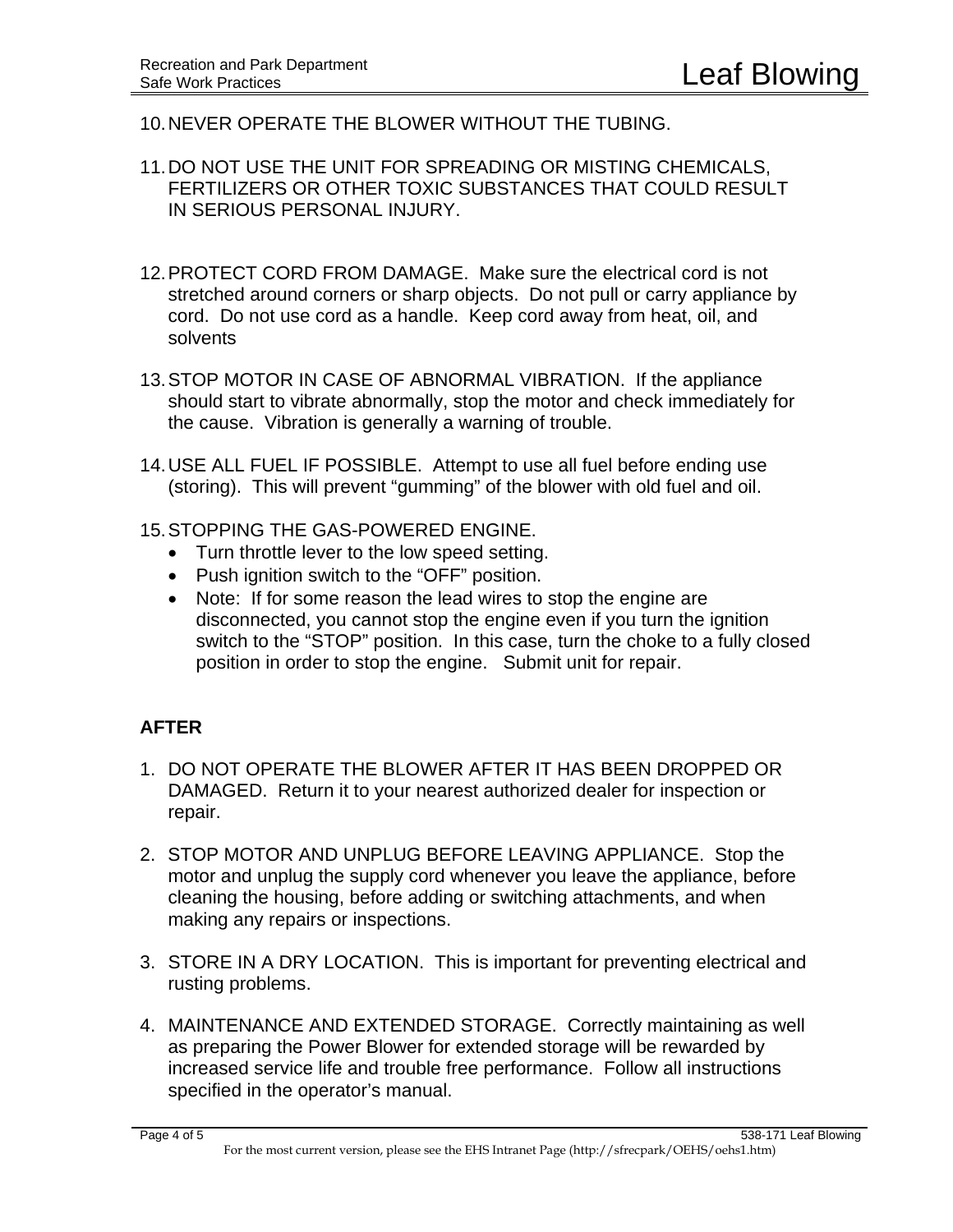- 10. NEVER OPERATE THE BLOWER WITHOUT THE TUBING.
- 11. DO NOT USE THE UNIT FOR SPREADING OR MISTING CHEMICALS, FERTILIZERS OR OTHER TOXIC SUBSTANCES THAT COULD RESULT IN SERIOUS PERSONAL INJURY.
- 12. PROTECT CORD FROM DAMAGE. Make sure the electrical cord is not stretched around corners or sharp objects. Do not pull or carry appliance by cord. Do not use cord as a handle. Keep cord away from heat, oil, and solvents
- 13. STOP MOTOR IN CASE OF ABNORMAL VIBRATION. If the appliance should start to vibrate abnormally, stop the motor and check immediately for the cause. Vibration is generally a warning of trouble.
- 14. USE ALL FUEL IF POSSIBLE. Attempt to use all fuel before ending use (storing). This will prevent "gumming" of the blower with old fuel and oil.
- 15. STOPPING THE GAS-POWERED ENGINE.
	- Turn throttle lever to the low speed setting.
	- Push ignition switch to the "OFF" position.
	- Note: If for some reason the lead wires to stop the engine are disconnected, you cannot stop the engine even if you turn the ignition switch to the "STOP" position. In this case, turn the choke to a fully closed position in order to stop the engine. Submit unit for repair.

# **AFTER**

- 1. DO NOT OPERATE THE BLOWER AFTER IT HAS BEEN DROPPED OR DAMAGED. Return it to your nearest authorized dealer for inspection or repair.
- 2. STOP MOTOR AND UNPLUG BEFORE LEAVING APPLIANCE. Stop the motor and unplug the supply cord whenever you leave the appliance, before cleaning the housing, before adding or switching attachments, and when making any repairs or inspections.
- 3. STORE IN A DRY LOCATION. This is important for preventing electrical and rusting problems.
- 4. MAINTENANCE AND EXTENDED STORAGE. Correctly maintaining as well as preparing the Power Blower for extended storage will be rewarded by increased service life and trouble free performance. Follow all instructions specified in the operator's manual.